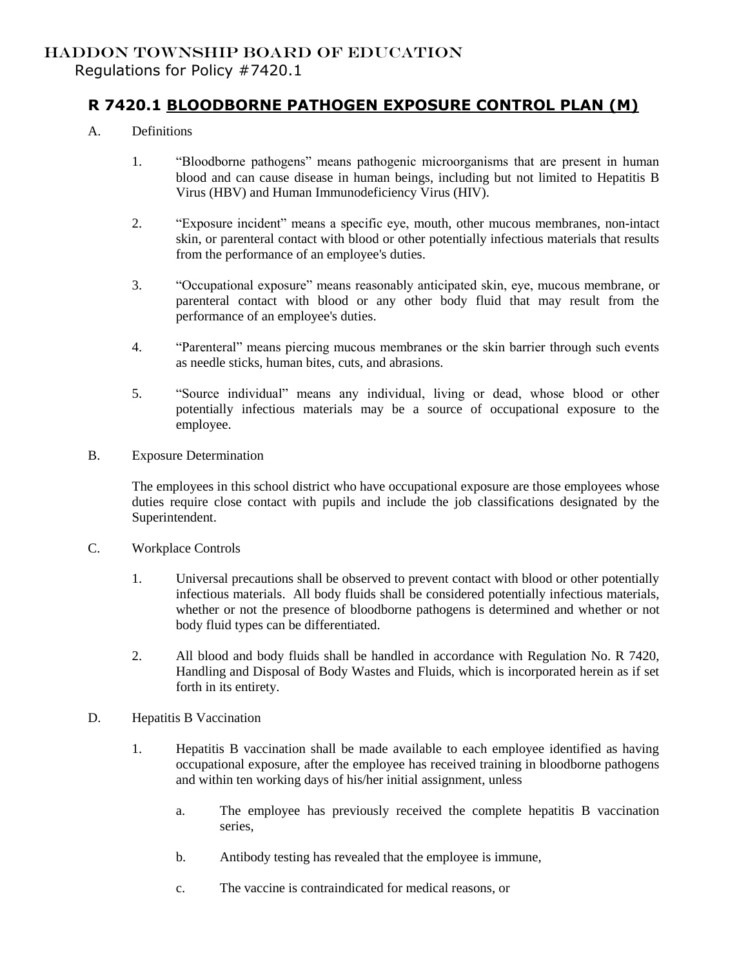## HADDON TOWNSHIP BOARD OF EDUCATION

Regulations for Policy #7420.1

## **R 7420.1 BLOODBORNE PATHOGEN EXPOSURE CONTROL PLAN (M)**

- A. Definitions
	- 1. "Bloodborne pathogens" means pathogenic microorganisms that are present in human blood and can cause disease in human beings, including but not limited to Hepatitis B Virus (HBV) and Human Immunodeficiency Virus (HIV).
	- 2. "Exposure incident" means a specific eye, mouth, other mucous membranes, non-intact skin, or parenteral contact with blood or other potentially infectious materials that results from the performance of an employee's duties.
	- 3. "Occupational exposure" means reasonably anticipated skin, eye, mucous membrane, or parenteral contact with blood or any other body fluid that may result from the performance of an employee's duties.
	- 4. "Parenteral" means piercing mucous membranes or the skin barrier through such events as needle sticks, human bites, cuts, and abrasions.
	- 5. "Source individual" means any individual, living or dead, whose blood or other potentially infectious materials may be a source of occupational exposure to the employee.
- B. Exposure Determination

The employees in this school district who have occupational exposure are those employees whose duties require close contact with pupils and include the job classifications designated by the Superintendent.

- C. Workplace Controls
	- 1. Universal precautions shall be observed to prevent contact with blood or other potentially infectious materials. All body fluids shall be considered potentially infectious materials, whether or not the presence of bloodborne pathogens is determined and whether or not body fluid types can be differentiated.
	- 2. All blood and body fluids shall be handled in accordance with Regulation No. R 7420, Handling and Disposal of Body Wastes and Fluids, which is incorporated herein as if set forth in its entirety.
- D. Hepatitis B Vaccination
	- 1. Hepatitis B vaccination shall be made available to each employee identified as having occupational exposure, after the employee has received training in bloodborne pathogens and within ten working days of his/her initial assignment, unless
		- a. The employee has previously received the complete hepatitis B vaccination series,
		- b. Antibody testing has revealed that the employee is immune,
		- c. The vaccine is contraindicated for medical reasons, or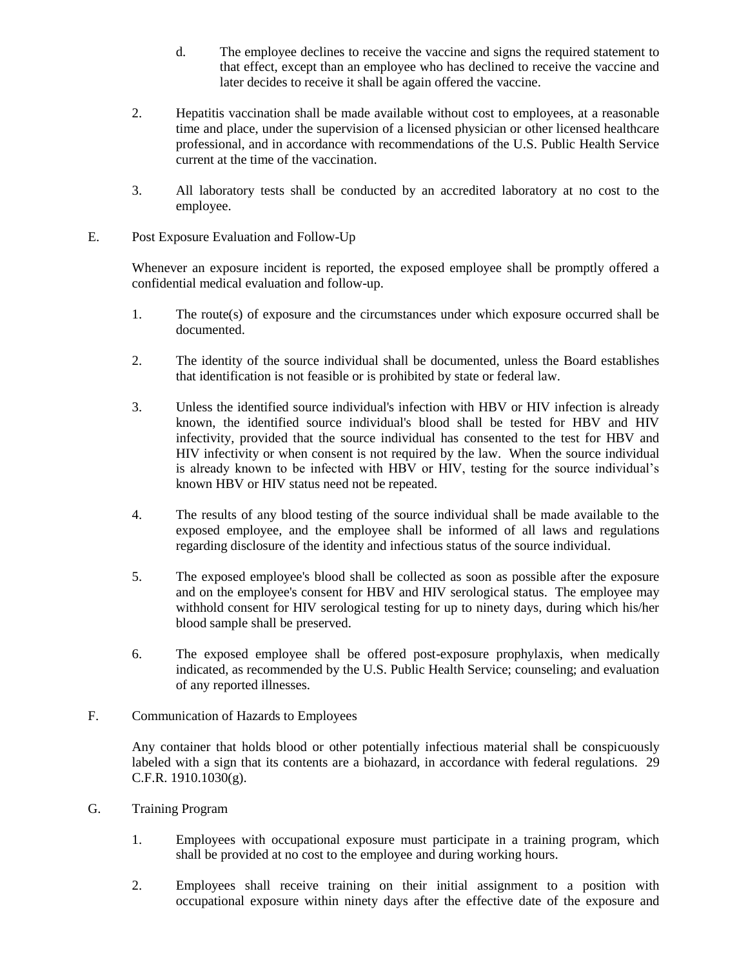- d. The employee declines to receive the vaccine and signs the required statement to that effect, except than an employee who has declined to receive the vaccine and later decides to receive it shall be again offered the vaccine.
- 2. Hepatitis vaccination shall be made available without cost to employees, at a reasonable time and place, under the supervision of a licensed physician or other licensed healthcare professional, and in accordance with recommendations of the U.S. Public Health Service current at the time of the vaccination.
- 3. All laboratory tests shall be conducted by an accredited laboratory at no cost to the employee.
- E. Post Exposure Evaluation and Follow-Up

Whenever an exposure incident is reported, the exposed employee shall be promptly offered a confidential medical evaluation and follow-up.

- 1. The route(s) of exposure and the circumstances under which exposure occurred shall be documented.
- 2. The identity of the source individual shall be documented, unless the Board establishes that identification is not feasible or is prohibited by state or federal law.
- 3. Unless the identified source individual's infection with HBV or HIV infection is already known, the identified source individual's blood shall be tested for HBV and HIV infectivity, provided that the source individual has consented to the test for HBV and HIV infectivity or when consent is not required by the law. When the source individual is already known to be infected with HBV or HIV, testing for the source individual's known HBV or HIV status need not be repeated.
- 4. The results of any blood testing of the source individual shall be made available to the exposed employee, and the employee shall be informed of all laws and regulations regarding disclosure of the identity and infectious status of the source individual.
- 5. The exposed employee's blood shall be collected as soon as possible after the exposure and on the employee's consent for HBV and HIV serological status. The employee may withhold consent for HIV serological testing for up to ninety days, during which his/her blood sample shall be preserved.
- 6. The exposed employee shall be offered post-exposure prophylaxis, when medically indicated, as recommended by the U.S. Public Health Service; counseling; and evaluation of any reported illnesses.
- F. Communication of Hazards to Employees

Any container that holds blood or other potentially infectious material shall be conspicuously labeled with a sign that its contents are a biohazard, in accordance with federal regulations. 29 C.F.R. 1910.1030(g).

- G. Training Program
	- 1. Employees with occupational exposure must participate in a training program, which shall be provided at no cost to the employee and during working hours.
	- 2. Employees shall receive training on their initial assignment to a position with occupational exposure within ninety days after the effective date of the exposure and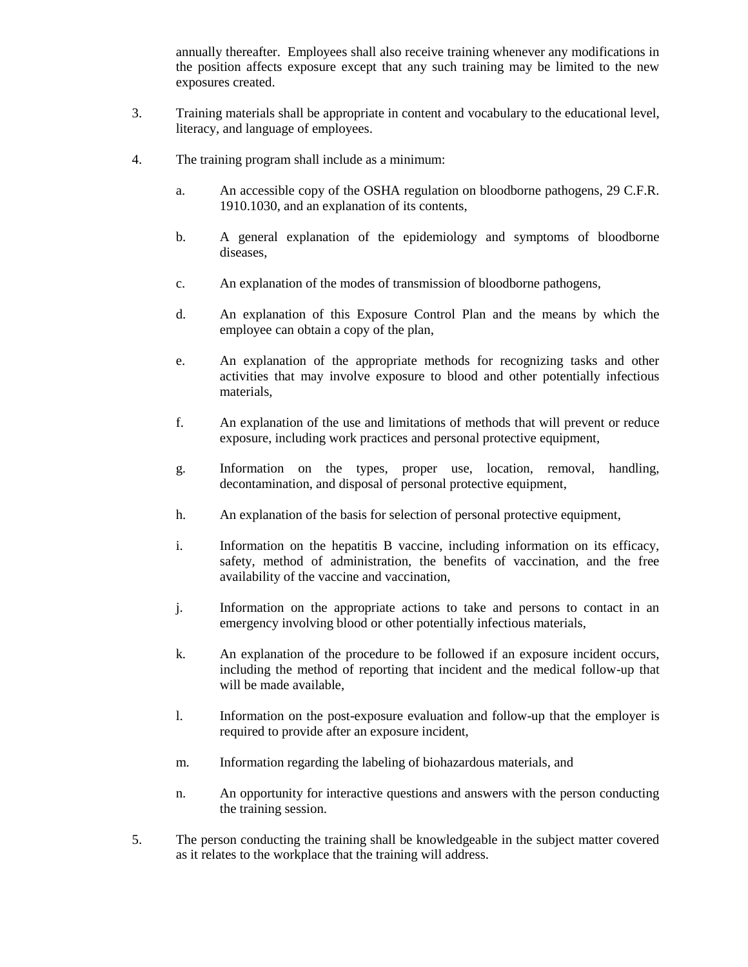annually thereafter. Employees shall also receive training whenever any modifications in the position affects exposure except that any such training may be limited to the new exposures created.

- 3. Training materials shall be appropriate in content and vocabulary to the educational level, literacy, and language of employees.
- 4. The training program shall include as a minimum:
	- a. An accessible copy of the OSHA regulation on bloodborne pathogens, 29 C.F.R. 1910.1030, and an explanation of its contents,
	- b. A general explanation of the epidemiology and symptoms of bloodborne diseases,
	- c. An explanation of the modes of transmission of bloodborne pathogens,
	- d. An explanation of this Exposure Control Plan and the means by which the employee can obtain a copy of the plan,
	- e. An explanation of the appropriate methods for recognizing tasks and other activities that may involve exposure to blood and other potentially infectious materials,
	- f. An explanation of the use and limitations of methods that will prevent or reduce exposure, including work practices and personal protective equipment,
	- g. Information on the types, proper use, location, removal, handling, decontamination, and disposal of personal protective equipment,
	- h. An explanation of the basis for selection of personal protective equipment,
	- i. Information on the hepatitis B vaccine, including information on its efficacy, safety, method of administration, the benefits of vaccination, and the free availability of the vaccine and vaccination,
	- j. Information on the appropriate actions to take and persons to contact in an emergency involving blood or other potentially infectious materials,
	- k. An explanation of the procedure to be followed if an exposure incident occurs, including the method of reporting that incident and the medical follow-up that will be made available,
	- l. Information on the post-exposure evaluation and follow-up that the employer is required to provide after an exposure incident,
	- m. Information regarding the labeling of biohazardous materials, and
	- n. An opportunity for interactive questions and answers with the person conducting the training session.
- 5. The person conducting the training shall be knowledgeable in the subject matter covered as it relates to the workplace that the training will address.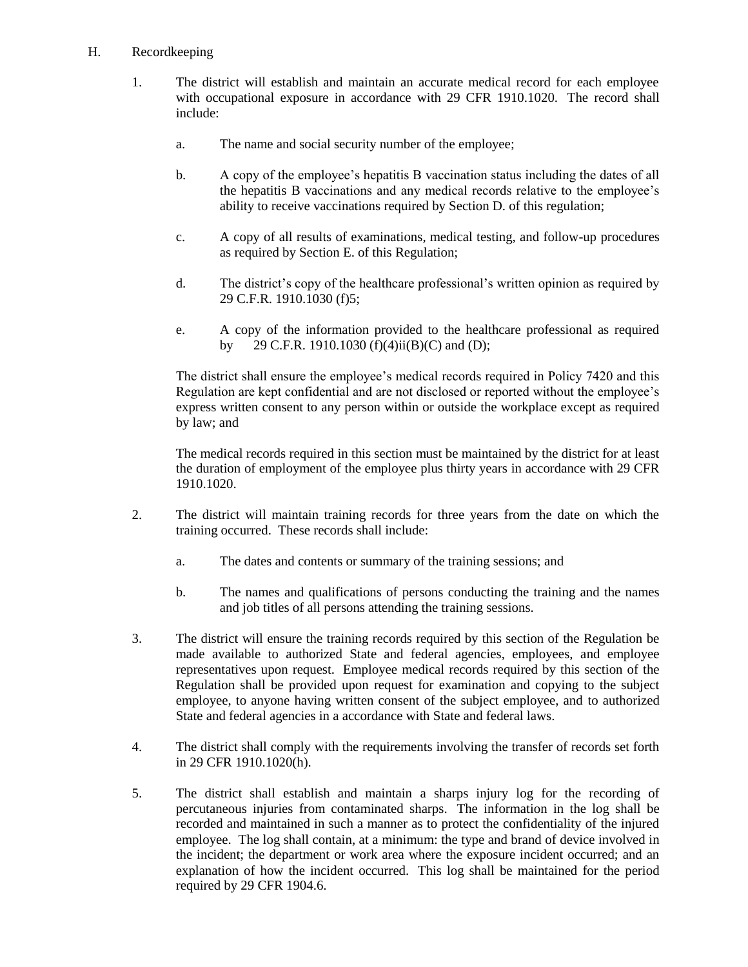## H. Recordkeeping

- 1. The district will establish and maintain an accurate medical record for each employee with occupational exposure in accordance with 29 CFR 1910.1020. The record shall include:
	- a. The name and social security number of the employee;
	- b. A copy of the employee's hepatitis B vaccination status including the dates of all the hepatitis B vaccinations and any medical records relative to the employee's ability to receive vaccinations required by Section D. of this regulation;
	- c. A copy of all results of examinations, medical testing, and follow-up procedures as required by Section E. of this Regulation;
	- d. The district's copy of the healthcare professional's written opinion as required by 29 C.F.R. 1910.1030 (f)5;
	- e. A copy of the information provided to the healthcare professional as required 29 C.F.R. 1910.1030 (f)(4)ii(B)(C) and (D);

The district shall ensure the employee's medical records required in Policy 7420 and this Regulation are kept confidential and are not disclosed or reported without the employee's express written consent to any person within or outside the workplace except as required by law; and

The medical records required in this section must be maintained by the district for at least the duration of employment of the employee plus thirty years in accordance with 29 CFR 1910.1020.

- 2. The district will maintain training records for three years from the date on which the training occurred. These records shall include:
	- a. The dates and contents or summary of the training sessions; and
	- b. The names and qualifications of persons conducting the training and the names and job titles of all persons attending the training sessions.
- 3. The district will ensure the training records required by this section of the Regulation be made available to authorized State and federal agencies, employees, and employee representatives upon request. Employee medical records required by this section of the Regulation shall be provided upon request for examination and copying to the subject employee, to anyone having written consent of the subject employee, and to authorized State and federal agencies in a accordance with State and federal laws.
- 4. The district shall comply with the requirements involving the transfer of records set forth in 29 CFR 1910.1020(h).
- 5. The district shall establish and maintain a sharps injury log for the recording of percutaneous injuries from contaminated sharps. The information in the log shall be recorded and maintained in such a manner as to protect the confidentiality of the injured employee. The log shall contain, at a minimum: the type and brand of device involved in the incident; the department or work area where the exposure incident occurred; and an explanation of how the incident occurred. This log shall be maintained for the period required by 29 CFR 1904.6.